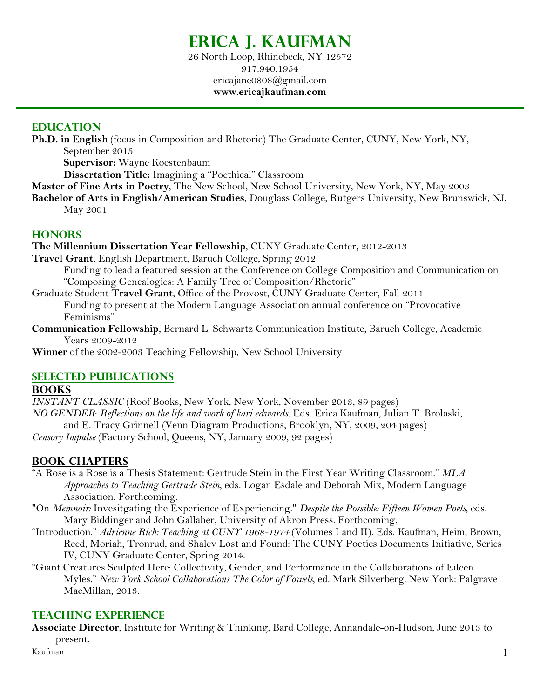# **Erica J. Kaufman**

26 North Loop, Rhinebeck, NY 12572 917.940.1954 ericajane0808@gmail.com **www.ericajkaufman.com**

#### **EDUCATION**

**Ph.D. in English** (focus in Composition and Rhetoric) The Graduate Center, CUNY, New York, NY, September 2015

**Supervisor:** Wayne Koestenbaum

**Dissertation Title:** Imagining a "Poethical" Classroom

- **Master of Fine Arts in Poetry**, The New School, New School University, New York, NY, May 2003
- **Bachelor of Arts in English/American Studies**, Douglass College, Rutgers University, New Brunswick, NJ, May 2001

### **HONORS**

**The Millennium Dissertation Year Fellowship**, CUNY Graduate Center, 2012-2013

- **Travel Grant**, English Department, Baruch College, Spring 2012 Funding to lead a featured session at the Conference on College Composition and Communication on "Composing Genealogies: A Family Tree of Composition/Rhetoric"
- Graduate Student **Travel Grant**, Office of the Provost, CUNY Graduate Center, Fall 2011 Funding to present at the Modern Language Association annual conference on "Provocative Feminisms"
- **Communication Fellowship**, Bernard L. Schwartz Communication Institute, Baruch College, Academic Years 2009-2012

**Winner** of the 2002-2003 Teaching Fellowship, New School University

## **SELECTED PUBLICATIONS**

#### **BOOKS**

*INSTANT CLASSIC* (Roof Books, New York, New York, November 2013, 89 pages) *NO GENDER*: *Reflections on the life and work of kari edwards.* Eds. Erica Kaufman, Julian T. Brolaski, and E. Tracy Grinnell (Venn Diagram Productions, Brooklyn, NY, 2009, 204 pages)

*Censory Impulse* (Factory School, Queens, NY, January 2009, 92 pages)

# **BOOK CHAPTERS**

- "A Rose is a Rose is a Thesis Statement: Gertrude Stein in the First Year Writing Classroom." *MLA Approaches to Teaching Gertrude Stein*, eds. Logan Esdale and Deborah Mix, Modern Language Association. Forthcoming.
- "On *Memnoir:* Invesitgating the Experience of Experiencing." *Despite the Possible: Fifteen Women Poets,* eds. Mary Biddinger and John Gallaher, University of Akron Press. Forthcoming.
- "Introduction." *Adrienne Rich: Teaching at CUNY 1968-1974* (Volumes I and II). Eds. Kaufman, Heim, Brown, Reed, Moriah, Tronrud, and Shalev Lost and Found: The CUNY Poetics Documents Initiative, Series IV, CUNY Graduate Center, Spring 2014.
- "Giant Creatures Sculpted Here: Collectivity, Gender, and Performance in the Collaborations of Eileen Myles." *New York School Collaborations The Color of Vowels*, ed. Mark Silverberg. New York: Palgrave MacMillan, 2013.

## **TEACHING EXPERIENCE**

**Associate Director**, Institute for Writing & Thinking, Bard College, Annandale-on-Hudson, June 2013 to present.

Kaufman 1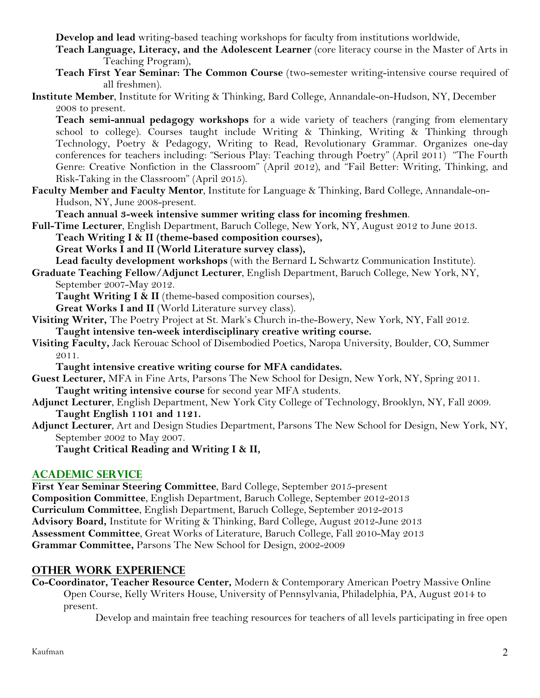**Develop and lead** writing-based teaching workshops for faculty from institutions worldwide,

- **Teach Language, Literacy, and the Adolescent Learner** (core literacy course in the Master of Arts in Teaching Program),
- **Teach First Year Seminar: The Common Course** (two-semester writing-intensive course required of all freshmen).

#### **Institute Member**, Institute for Writing & Thinking, Bard College, Annandale-on-Hudson, NY, December 2008 to present.

**Teach semi-annual pedagogy workshops** for a wide variety of teachers (ranging from elementary school to college). Courses taught include Writing & Thinking, Writing & Thinking through Technology, Poetry & Pedagogy, Writing to Read, Revolutionary Grammar. Organizes one-day conferences for teachers including: "Serious Play: Teaching through Poetry" (April 2011) "The Fourth Genre: Creative Nonfiction in the Classroom" (April 2012), and "Fail Better: Writing, Thinking, and Risk-Taking in the Classroom" (April 2015).

**Faculty Member and Faculty Mentor**, Institute for Language & Thinking, Bard College, Annandale-on-Hudson, NY, June 2008-present.

**Teach annual 3-week intensive summer writing class for incoming freshmen**.

**Full-Time Lecturer**, English Department, Baruch College, New York, NY, August 2012 to June 2013.

**Teach Writing I & II (theme-based composition courses),** 

**Great Works I and II (World Literature survey class),**

**Lead faculty development workshops** (with the Bernard L Schwartz Communication Institute).

**Graduate Teaching Fellow/Adjunct Lecturer**, English Department, Baruch College, New York, NY, September 2007-May 2012.

**Taught Writing I & II** (theme-based composition courses),

Great Works I and II (World Literature survey class).

- **Visiting Writer,** The Poetry Project at St. Mark's Church in-the-Bowery, New York, NY, Fall 2012. **Taught intensive ten-week interdisciplinary creative writing course.**
- **Visiting Faculty,** Jack Kerouac School of Disembodied Poetics, Naropa University, Boulder, CO, Summer 2011.

**Taught intensive creative writing course for MFA candidates.** 

- **Guest Lecturer,** MFA in Fine Arts, Parsons The New School for Design, New York, NY, Spring 2011. **Taught writing intensive course** for second year MFA students.
- **Adjunct Lecturer**, English Department, New York City College of Technology, Brooklyn, NY, Fall 2009. **Taught English 1101 and 1121.**
- **Adjunct Lecturer**, Art and Design Studies Department, Parsons The New School for Design, New York, NY, September 2002 to May 2007.

**Taught Critical Reading and Writing I & II,**

## **ACADEMIC SERVICE**

**First Year Seminar Steering Committee**, Bard College, September 2015-present **Composition Committee**, English Department, Baruch College, September 2012-2013 **Curriculum Committee**, English Department, Baruch College, September 2012-2013 **Advisory Board,** Institute for Writing & Thinking, Bard College, August 2012-June 2013 **Assessment Committee**, Great Works of Literature, Baruch College, Fall 2010-May 2013 **Grammar Committee,** Parsons The New School for Design, 2002-2009

## **OTHER WORK EXPERIENCE**

**Co-Coordinator, Teacher Resource Center,** Modern & Contemporary American Poetry Massive Online Open Course, Kelly Writers House, University of Pennsylvania, Philadelphia, PA, August 2014 to present.

Develop and maintain free teaching resources for teachers of all levels participating in free open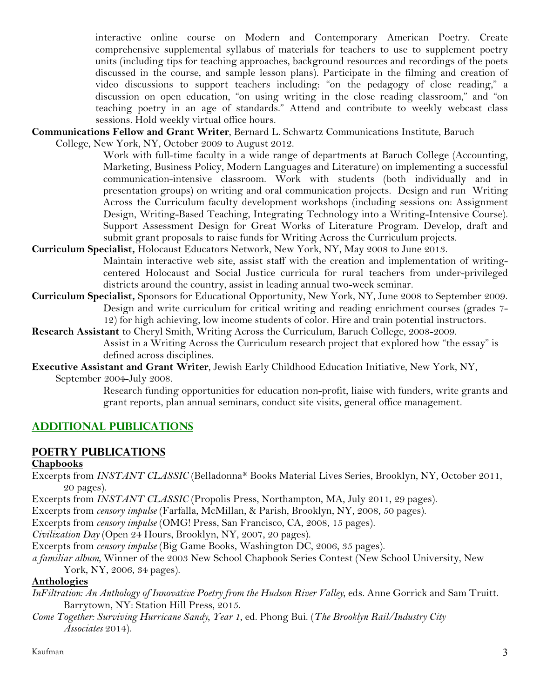interactive online course on Modern and Contemporary American Poetry. Create comprehensive supplemental syllabus of materials for teachers to use to supplement poetry units (including tips for teaching approaches, background resources and recordings of the poets discussed in the course, and sample lesson plans). Participate in the filming and creation of video discussions to support teachers including: "on the pedagogy of close reading," a discussion on open education, "on using writing in the close reading classroom," and "on teaching poetry in an age of standards." Attend and contribute to weekly webcast class sessions. Hold weekly virtual office hours.

**Communications Fellow and Grant Writer**, Bernard L. Schwartz Communications Institute, Baruch

College, New York, NY, October 2009 to August 2012.

Work with full-time faculty in a wide range of departments at Baruch College (Accounting, Marketing, Business Policy, Modern Languages and Literature) on implementing a successful communication-intensive classroom. Work with students (both individually and in presentation groups) on writing and oral communication projects. Design and run Writing Across the Curriculum faculty development workshops (including sessions on: Assignment Design, Writing-Based Teaching, Integrating Technology into a Writing-Intensive Course). Support Assessment Design for Great Works of Literature Program. Develop, draft and submit grant proposals to raise funds for Writing Across the Curriculum projects.

- **Curriculum Specialist,** Holocaust Educators Network, New York, NY, May 2008 to June 2013. Maintain interactive web site, assist staff with the creation and implementation of writingcentered Holocaust and Social Justice curricula for rural teachers from under-privileged districts around the country, assist in leading annual two-week seminar.
- **Curriculum Specialist,** Sponsors for Educational Opportunity, New York, NY, June 2008 to September 2009. Design and write curriculum for critical writing and reading enrichment courses (grades 7- 12) for high achieving, low income students of color. Hire and train potential instructors.
- **Research Assistant** to Cheryl Smith, Writing Across the Curriculum, Baruch College, 2008-2009. Assist in a Writing Across the Curriculum research project that explored how "the essay" is defined across disciplines.
- **Executive Assistant and Grant Writer**, Jewish Early Childhood Education Initiative, New York, NY, September 2004-July 2008.

 Research funding opportunities for education non-profit, liaise with funders, write grants and grant reports, plan annual seminars, conduct site visits, general office management.

# **ADDITIONAL PUBLICATIONS**

# **POETRY PUBLICATIONS**

#### **Chapbooks**

Excerpts from *INSTANT CLASSIC* (Belladonna\* Books Material Lives Series, Brooklyn, NY, October 2011, 20 pages).

Excerpts from *INSTANT CLASSIC* (Propolis Press, Northampton, MA, July 2011, 29 pages).

Excerpts from *censory impulse* (Farfalla, McMillan, & Parish, Brooklyn, NY, 2008, 50 pages).

Excerpts from *censory impulse* (OMG! Press, San Francisco, CA, 2008, 15 pages).

*Civilization Day* (Open 24 Hours, Brooklyn, NY, 2007, 20 pages).

Excerpts from *censory impulse* (Big Game Books, Washington DC, 2006, 35 pages).

*a familiar album,* Winner of the 2003 New School Chapbook Series Contest (New School University, New York, NY, 2006, 34 pages).

#### **Anthologies**

- *InFiltration: An Anthology of Innovative Poetry from the Hudson River Valley*, eds. Anne Gorrick and Sam Truitt. Barrytown, NY: Station Hill Press, 2015.
- *Come Together: Surviving Hurricane Sandy, Year 1*, ed. Phong Bui. (*The Brooklyn Rail/Industry City Associates* 2014).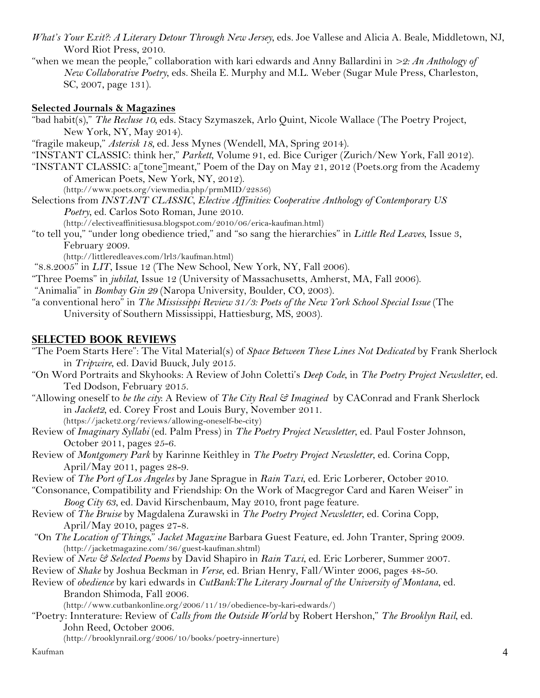- *What's Your Exit?: A Literary Detour Through New Jersey*, eds. Joe Vallese and Alicia A. Beale, Middletown, NJ, Word Riot Press, 2010.
- "when we mean the people," collaboration with kari edwards and Anny Ballardini in *>2: An Anthology of New Collaborative Poetry*, eds. Sheila E. Murphy and M.L. Weber (Sugar Mule Press, Charleston, SC, 2007, page 131).

#### **Selected Journals & Magazines**

"bad habit(s)," *The Recluse 10,* eds. Stacy Szymaszek, Arlo Quint, Nicole Wallace (The Poetry Project, New York, NY, May 2014).

"fragile makeup," *Asterisk 18,* ed. Jess Mynes (Wendell, MA, Spring 2014).

"INSTANT CLASSIC: think her," *Parkett*, Volume 91, ed. Bice Curiger (Zurich/New York, Fall 2012).

"INSTANT CLASSIC: a<sup>r</sup>tone<sup>-</sup> meant," Poem of the Day on May 21, 2012 (Poets.org from the Academy of American Poets, New York, NY, 2012).

(http://www.poets.org/viewmedia.php/prmMID/22856)

Selections from *INSTANT CLASSIC*, *Elective Affinities: Cooperative Anthology of Contemporary US Poetry*, ed. Carlos Soto Roman, June 2010.

(http://electiveaffinitiesusa.blogspot.com/2010/06/erica-kaufman.html)

"to tell you," "under long obedience tried," and "so sang the hierarchies" in *Little Red Leaves*, Issue 3, February 2009.

(http://littleredleaves.com/lrl3/kaufman.html)

"8.8.2005" in *LIT*, Issue 12 (The New School, New York, NY, Fall 2006).

"Three Poems" in *jubilat*, Issue 12 (University of Massachusetts, Amherst, MA, Fall 2006).

"Animalia" in *Bombay Gin 29* (Naropa University, Boulder, CO, 2003).

"a conventional hero" in *The Mississippi Review 31/3: Poets of the New York School Special Issue* (The University of Southern Mississippi, Hattiesburg, MS, 2003).

#### **SELECTED BOOK Reviews**

"The Poem Starts Here": The Vital Material(s) of *Space Between These Lines Not Dedicated* by Frank Sherlock in *Tripwire*, ed. David Buuck, July 2015.

- "On Word Portraits and Skyhooks: A Review of John Coletti's *Deep Code*, in *The Poetry Project Newsletter*, ed. Ted Dodson, February 2015.
- "Allowing oneself to *be the city*: A Review of *The City Real & Imagined* by CAConrad and Frank Sherlock in *Jacket2*, ed. Corey Frost and Louis Bury, November 2011. (https://jacket2.org/reviews/allowing-oneself-be-city)
- Review of *Imaginary Syllabi* (ed. Palm Press) in *The Poetry Project Newsletter*, ed. Paul Foster Johnson, October 2011, pages 25-6.
- Review of *Montgomery Park* by Karinne Keithley in *The Poetry Project Newsletter*, ed. Corina Copp, April/May 2011, pages 28-9.

Review of *The Port of Los Angeles* by Jane Sprague in *Rain Taxi*, ed. Eric Lorberer, October 2010.

"Consonance, Compatibility and Friendship: On the Work of Macgregor Card and Karen Weiser" in *Boog City 63*, ed. David Kirschenbaum, May 2010, front page feature.

- Review of *The Bruise* by Magdalena Zurawski in *The Poetry Project Newsletter*, ed. Corina Copp, April/May 2010, pages 27-8.
- "On *The Location of Things*," *Jacket Magazine* Barbara Guest Feature, ed. John Tranter, Spring 2009. (http://jacketmagazine.com/36/guest-kaufman.shtml)
- Review of *New & Selected Poems* by David Shapiro in *Rain Taxi*, ed. Eric Lorberer, Summer 2007.

Review of *Shake* by Joshua Beckman in *Verse*, ed. Brian Henry, Fall/Winter 2006, pages 48-50.

Review of *obedience* by kari edwards in *CutBank:The Literary Journal of the University of Montana*, ed. Brandon Shimoda, Fall 2006.

(http://www.cutbankonline.org/2006/11/19/obedience-by-kari-edwards/)

"Poetry: Innterature: Review of *Calls from the Outside World* by Robert Hershon," *The Brooklyn Rail*, ed. John Reed, October 2006.

(http://brooklynrail.org/2006/10/books/poetry-innerture)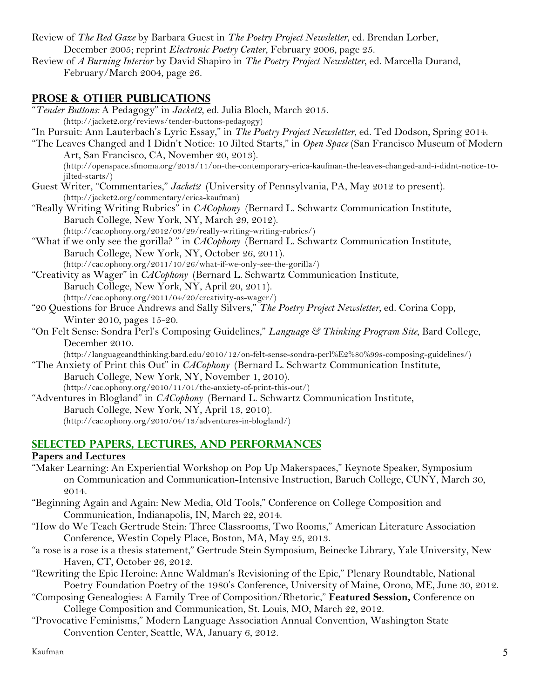Review of *The Red Gaze* by Barbara Guest in *The Poetry Project Newsletter*, ed. Brendan Lorber, December 2005; reprint *Electronic Poetry Center*, February 2006, page 25.

Review of *A Burning Interior* by David Shapiro in *The Poetry Project Newsletter*, ed. Marcella Durand, February/March 2004, page 26.

# **PROSE & OTHER PUBLICATIONS**

"*Tender Buttons:* A Pedagogy" in *Jacket2*, ed. Julia Bloch, March 2015. (http://jacket2.org/reviews/tender-buttons-pedagogy) "In Pursuit: Ann Lauterbach's Lyric Essay," in *The Poetry Project Newsletter*, ed. Ted Dodson, Spring 2014. "The Leaves Changed and I Didn't Notice: 10 Jilted Starts," in *Open Space* (San Francisco Museum of Modern Art, San Francisco, CA, November 20, 2013). (http://openspace.sfmoma.org/2013/11/on-the-contemporary-erica-kaufman-the-leaves-changed-and-i-didnt-notice-10 jilted-starts/) Guest Writer, "Commentaries," *Jacket2* (University of Pennsylvania, PA, May 2012 to present). (http://jacket2.org/commentary/erica-kaufman) "Really Writing Writing Rubrics" in *CACophony* (Bernard L. Schwartz Communication Institute, Baruch College, New York, NY, March 29, 2012). (http://cac.ophony.org/2012/03/29/really-writing-writing-rubrics/) "What if we only see the gorilla? " in *CACophony* (Bernard L. Schwartz Communication Institute, Baruch College, New York, NY, October 26, 2011). (http://cac.ophony.org/2011/10/26/what-if-we-only-see-the-gorilla/) "Creativity as Wager" in *CACophony* (Bernard L. Schwartz Communication Institute, Baruch College, New York, NY, April 20, 2011). (http://cac.ophony.org/2011/04/20/creativity-as-wager/) "20 Questions for Bruce Andrews and Sally Silvers," *The Poetry Project Newsletter*, ed. Corina Copp, Winter 2010, pages 15-20. "On Felt Sense: Sondra Perl's Composing Guidelines," *Language & Thinking Program Site*, Bard College, December 2010. (http://languageandthinking.bard.edu/2010/12/on-felt-sense-sondra-perl%E2%80%99s-composing-guidelines/) "The Anxiety of Print this Out" in *CACophony* (Bernard L. Schwartz Communication Institute, Baruch College, New York, NY, November 1, 2010). (http://cac.ophony.org/2010/11/01/the-anxiety-of-print-this-out/) "Adventures in Blogland" in *CACophony* (Bernard L. Schwartz Communication Institute, Baruch College, New York, NY, April 13, 2010). (http://cac.ophony.org/2010/04/13/adventures-in-blogland/)

## **SELECTED PAPERS, LECTURES, and performances**

#### **Papers and Lectures**

- "Maker Learning: An Experiential Workshop on Pop Up Makerspaces," Keynote Speaker, Symposium on Communication and Communication-Intensive Instruction, Baruch College, CUNY, March 30, 2014.
- "Beginning Again and Again: New Media, Old Tools," Conference on College Composition and Communication, Indianapolis, IN, March 22, 2014.
- "How do We Teach Gertrude Stein: Three Classrooms, Two Rooms," American Literature Association Conference, Westin Copely Place, Boston, MA, May 25, 2013.
- "a rose is a rose is a thesis statement," Gertrude Stein Symposium, Beinecke Library, Yale University, New Haven, CT, October 26, 2012.
- "Rewriting the Epic Heroine: Anne Waldman's Revisioning of the Epic," Plenary Roundtable, National Poetry Foundation Poetry of the 1980's Conference, University of Maine, Orono, ME, June 30, 2012.
- "Composing Genealogies: A Family Tree of Composition/Rhetoric," **Featured Session,** Conference on College Composition and Communication, St. Louis, MO, March 22, 2012.
- "Provocative Feminisms," Modern Language Association Annual Convention, Washington State Convention Center, Seattle, WA, January 6, 2012.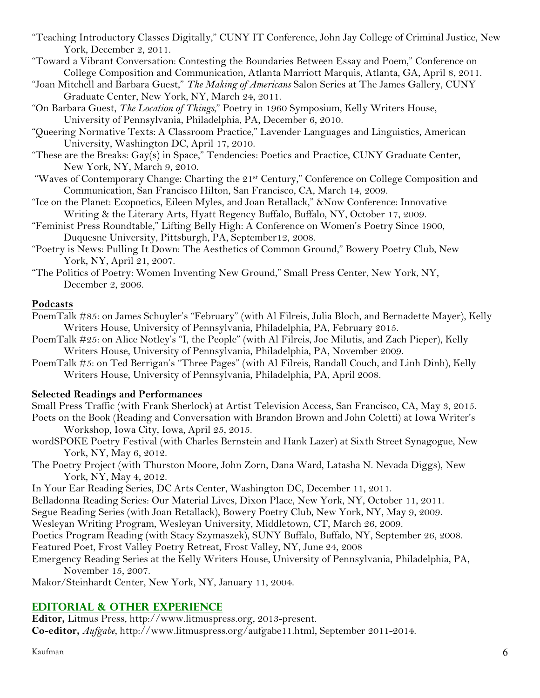- "Teaching Introductory Classes Digitally," CUNY IT Conference, John Jay College of Criminal Justice, New York, December 2, 2011.
- "Toward a Vibrant Conversation: Contesting the Boundaries Between Essay and Poem," Conference on College Composition and Communication, Atlanta Marriott Marquis, Atlanta, GA, April 8, 2011.
- "Joan Mitchell and Barbara Guest," *The Making of Americans* Salon Series at The James Gallery, CUNY Graduate Center, New York, NY, March 24, 2011.
- "On Barbara Guest, *The Location of Things*," Poetry in 1960 Symposium, Kelly Writers House, University of Pennsylvania, Philadelphia, PA, December 6, 2010.
- "Queering Normative Texts: A Classroom Practice," Lavender Languages and Linguistics, American University, Washington DC, April 17, 2010.
- "These are the Breaks: Gay(s) in Space," Tendencies: Poetics and Practice, CUNY Graduate Center, New York, NY, March 9, 2010.
- "Waves of Contemporary Change: Charting the 21<sup>st</sup> Century," Conference on College Composition and Communication, San Francisco Hilton, San Francisco, CA, March 14, 2009.
- "Ice on the Planet: Ecopoetics, Eileen Myles, and Joan Retallack," &Now Conference: Innovative Writing & the Literary Arts, Hyatt Regency Buffalo, Buffalo, NY, October 17, 2009.
- "Feminist Press Roundtable," Lifting Belly High: A Conference on Women's Poetry Since 1900, Duquesne University, Pittsburgh, PA, September12, 2008.
- "Poetry is News: Pulling It Down: The Aesthetics of Common Ground," Bowery Poetry Club, New York, NY, April 21, 2007.
- "The Politics of Poetry: Women Inventing New Ground," Small Press Center, New York, NY, December 2, 2006.

#### **Podcasts**

- PoemTalk #85: on James Schuyler's "February" (with Al Filreis, Julia Bloch, and Bernadette Mayer), Kelly Writers House, University of Pennsylvania, Philadelphia, PA, February 2015.
- PoemTalk #25: on Alice Notley's "I, the People" (with Al Filreis, Joe Milutis, and Zach Pieper), Kelly Writers House, University of Pennsylvania, Philadelphia, PA, November 2009.
- PoemTalk #5: on Ted Berrigan's "Three Pages" (with Al Filreis, Randall Couch, and Linh Dinh), Kelly Writers House, University of Pennsylvania, Philadelphia, PA, April 2008.

#### **Selected Readings and Performances**

Small Press Traffic (with Frank Sherlock) at Artist Television Access, San Francisco, CA, May 3, 2015. Poets on the Book (Reading and Conversation with Brandon Brown and John Coletti) at Iowa Writer's Workshop, Iowa City, Iowa, April 25, 2015.

- wordSPOKE Poetry Festival (with Charles Bernstein and Hank Lazer) at Sixth Street Synagogue, New York, NY, May 6, 2012.
- The Poetry Project (with Thurston Moore, John Zorn, Dana Ward, Latasha N. Nevada Diggs), New York, NY, May 4, 2012.
- In Your Ear Reading Series, DC Arts Center, Washington DC, December 11, 2011.
- Belladonna Reading Series: Our Material Lives, Dixon Place, New York, NY, October 11, 2011.
- Segue Reading Series (with Joan Retallack), Bowery Poetry Club, New York, NY, May 9, 2009.
- Wesleyan Writing Program, Wesleyan University, Middletown, CT, March 26, 2009.
- Poetics Program Reading (with Stacy Szymaszek), SUNY Buffalo, Buffalo, NY, September 26, 2008.
- Featured Poet, Frost Valley Poetry Retreat, Frost Valley, NY, June 24, 2008
- Emergency Reading Series at the Kelly Writers House, University of Pennsylvania, Philadelphia, PA, November 15, 2007.

Makor/Steinhardt Center, New York, NY, January 11, 2004.

# **EDITORIAL & OTHER EXPERIENCE**

**Editor,** Litmus Press, http://www.litmuspress.org, 2013-present. **Co-editor,** *Aufgabe*, http://www.litmuspress.org/aufgabe11.html, September 2011-2014.